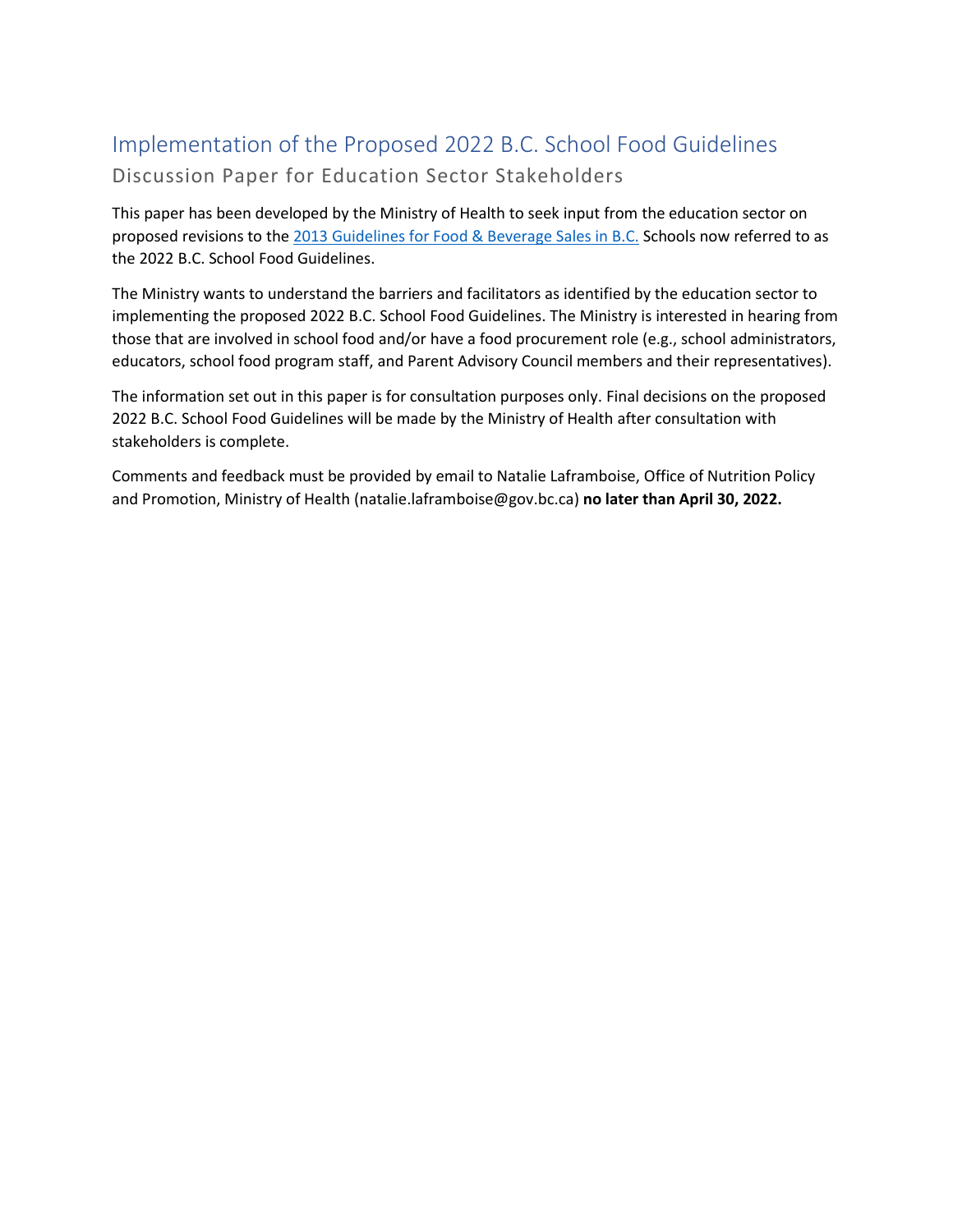# Implementation of the Proposed 2022 B.C. School Food Guidelines Discussion Paper for Education Sector Stakeholders

This paper has been developed by the Ministry of Health to seek input from the education sector on proposed revisions to th[e 2013 Guidelines for Food & Beverage Sales in B.C.](https://www2.gov.bc.ca/assets/gov/education/administration/kindergarten-to-grade-12/healthyschools/2015_food_guidelines.pdf) Schools now referred to as the 2022 B.C. School Food Guidelines.

The Ministry wants to understand the barriers and facilitators as identified by the education sector to implementing the proposed 2022 B.C. School Food Guidelines. The Ministry is interested in hearing from those that are involved in school food and/or have a food procurement role (e.g., school administrators, educators, school food program staff, and Parent Advisory Council members and their representatives).

The information set out in this paper is for consultation purposes only. Final decisions on the proposed 2022 B.C. School Food Guidelines will be made by the Ministry of Health after consultation with stakeholders is complete.

Comments and feedback must be provided by email to Natalie Laframboise, Office of Nutrition Policy and Promotion, Ministry of Health (natalie.laframboise@gov.bc.ca) **no later than April 30, 2022.**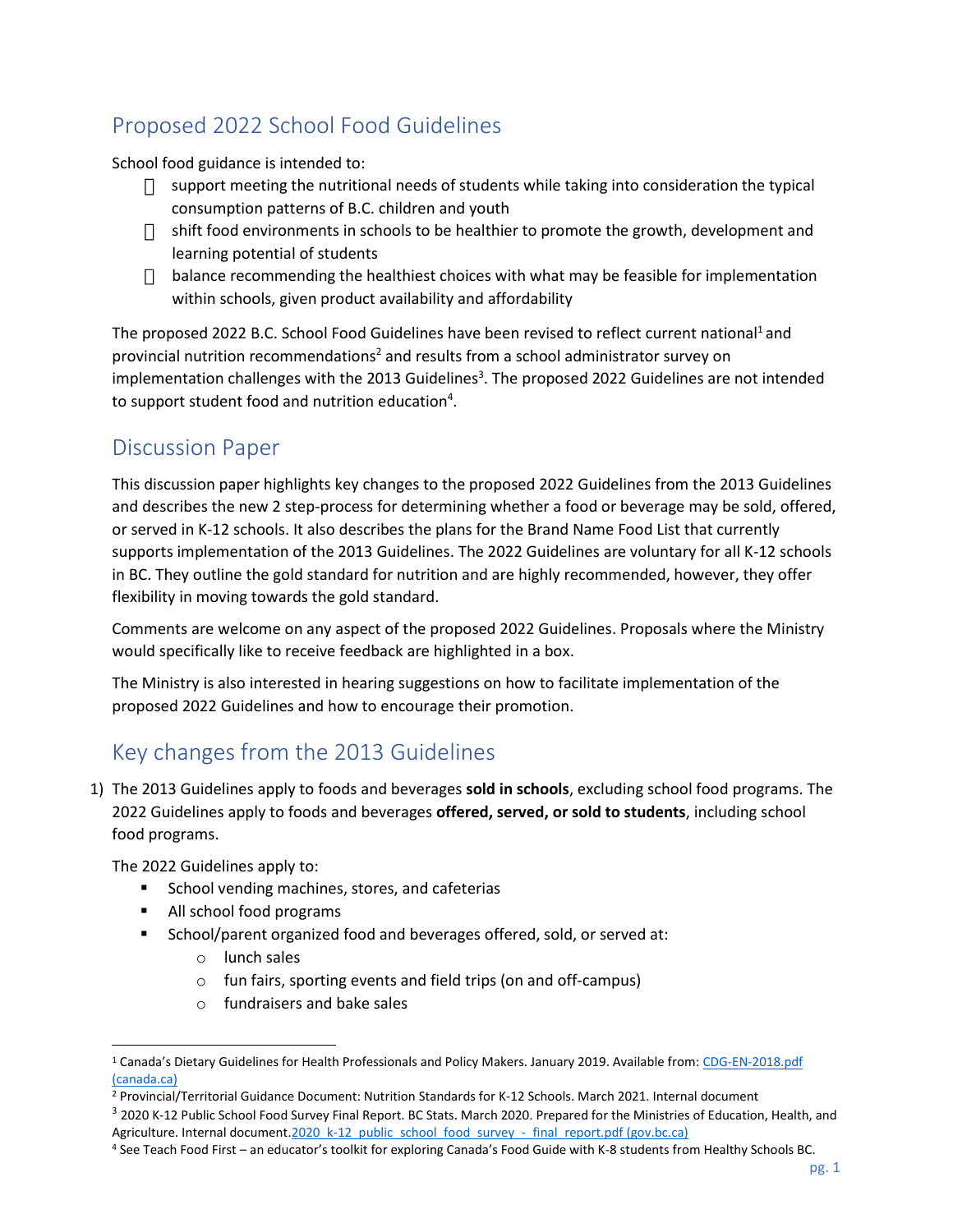# Proposed 2022 School Food Guidelines

School food guidance is intended to:

- $\Box$  support meeting the nutritional needs of students while taking into consideration the typical consumption patterns of B.C. children and youth
- $\Box$  shift food environments in schools to be healthier to promote the growth, development and learning potential of students
- $\Box$  balance recommending the healthiest choices with what may be feasible for implementation within schools, given product availability and affordability

The proposed 2022 B.C. School Food Guidelines have been revised to reflect current national<sup>1</sup> and provincial nutrition recommendations<sup>2</sup> and results from a school administrator survey on implementation challenges with the 2013 Guidelines<sup>3</sup>. The proposed 2022 Guidelines are not intended to support student food and nutrition education<sup>4</sup>.

#### Discussion Paper

This discussion paper highlights key changes to the proposed 2022 Guidelines from the 2013 Guidelines and describes the new 2 step-process for determining whether a food or beverage may be sold, offered, or served in K-12 schools. It also describes the plans for the Brand Name Food List that currently supports implementation of the 2013 Guidelines. The 2022 Guidelines are voluntary for all K-12 schools in BC. They outline the gold standard for nutrition and are highly recommended, however, they offer flexibility in moving towards the gold standard.

Comments are welcome on any aspect of the proposed 2022 Guidelines. Proposals where the Ministry would specifically like to receive feedback are highlighted in a box.

The Ministry is also interested in hearing suggestions on how to facilitate implementation of the proposed 2022 Guidelines and how to encourage their promotion.

### Key changes from the 2013 Guidelines

1) The 2013 Guidelines apply to foods and beverages **sold in schools**, excluding school food programs. The 2022 Guidelines apply to foods and beverages **offered, served, or sold to students**, including school food programs.

The 2022 Guidelines apply to:

- School vending machines, stores, and cafeterias
- All school food programs
- School/parent organized food and beverages offered, sold, or served at:
	- o lunch sales
	- o fun fairs, sporting events and field trips (on and off-campus)
	- o fundraisers and bake sales

<sup>&</sup>lt;sup>1</sup> Canada's Dietary Guidelines for Health Professionals and Policy Makers. January 2019. Available from: CDG-EN-2018.pdf [\(canada.ca\)](https://food-guide.canada.ca/sites/default/files/artifact-pdf/CDG-EN-2018.pdf)

<sup>2</sup> Provincial/Territorial Guidance Document: Nutrition Standards for K-12 Schools. March 2021. Internal document

<sup>&</sup>lt;sup>3</sup> 2020 K-12 Public School Food Survey Final Report. BC Stats. March 2020. Prepared for the Ministries of Education, Health, and Agriculture. Internal documen[t.2020\\_k-12\\_public\\_school\\_food\\_survey\\_-\\_final\\_report.pdf \(gov.bc.ca\)](https://www2.gov.bc.ca/assets/gov/farming-natural-resources-and-industry/agriculture-and-seafood/feedbc/k12/2020_k-12_public_school_food_survey_-_final_report.pdf)

<sup>4</sup> See Teach Food First – an educator's toolkit for exploring Canada's Food Guide with K-8 students from Healthy Schools BC.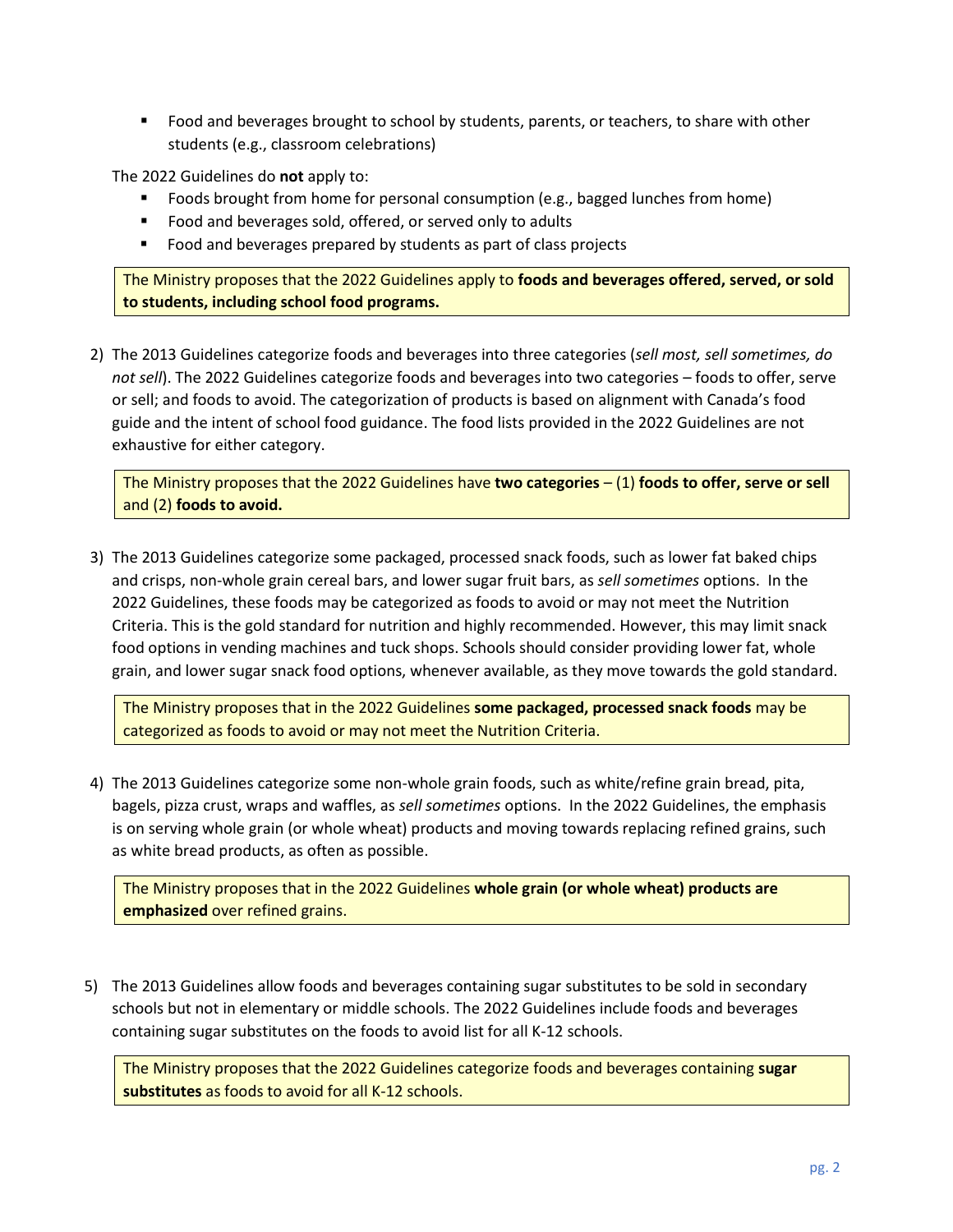■ Food and beverages brought to school by students, parents, or teachers, to share with other students (e.g., classroom celebrations)

The 2022 Guidelines do **not** apply to:

- Foods brought from home for personal consumption (e.g., bagged lunches from home)
- Food and beverages sold, offered, or served only to adults
- Food and beverages prepared by students as part of class projects

The Ministry proposes that the 2022 Guidelines apply to **foods and beverages offered, served, or sold to students, including school food programs.**

2) The 2013 Guidelines categorize foods and beverages into three categories (*sell most, sell sometimes, do not sell*). The 2022 Guidelines categorize foods and beverages into two categories – foods to offer, serve or sell; and foods to avoid. The categorization of products is based on alignment with Canada's food guide and the intent of school food guidance. The food lists provided in the 2022 Guidelines are not exhaustive for either category.

The Ministry proposes that the 2022 Guidelines have **two categories** – (1) **foods to offer, serve or sell** and (2) **foods to avoid.**

3) The 2013 Guidelines categorize some packaged, processed snack foods, such as lower fat baked chips and crisps, non-whole grain cereal bars, and lower sugar fruit bars, as *sell sometimes* options. In the 2022 Guidelines, these foods may be categorized as foods to avoid or may not meet the Nutrition Criteria. This is the gold standard for nutrition and highly recommended. However, this may limit snack food options in vending machines and tuck shops. Schools should consider providing lower fat, whole grain, and lower sugar snack food options, whenever available, as they move towards the gold standard.

The Ministry proposes that in the 2022 Guidelines **some packaged, processed snack foods** may be categorized as foods to avoid or may not meet the Nutrition Criteria.

4) The 2013 Guidelines categorize some non-whole grain foods, such as white/refine grain bread, pita, bagels, pizza crust, wraps and waffles, as *sell sometimes* options. In the 2022 Guidelines, the emphasis is on serving whole grain (or whole wheat) products and moving towards replacing refined grains, such as white bread products, as often as possible.

The Ministry proposes that in the 2022 Guidelines **whole grain (or whole wheat) products are emphasized** over refined grains.

5) The 2013 Guidelines allow foods and beverages containing sugar substitutes to be sold in secondary schools but not in elementary or middle schools. The 2022 Guidelines include foods and beverages containing sugar substitutes on the foods to avoid list for all K-12 schools.

The Ministry proposes that the 2022 Guidelines categorize foods and beverages containing **sugar substitutes** as foods to avoid for all K-12 schools.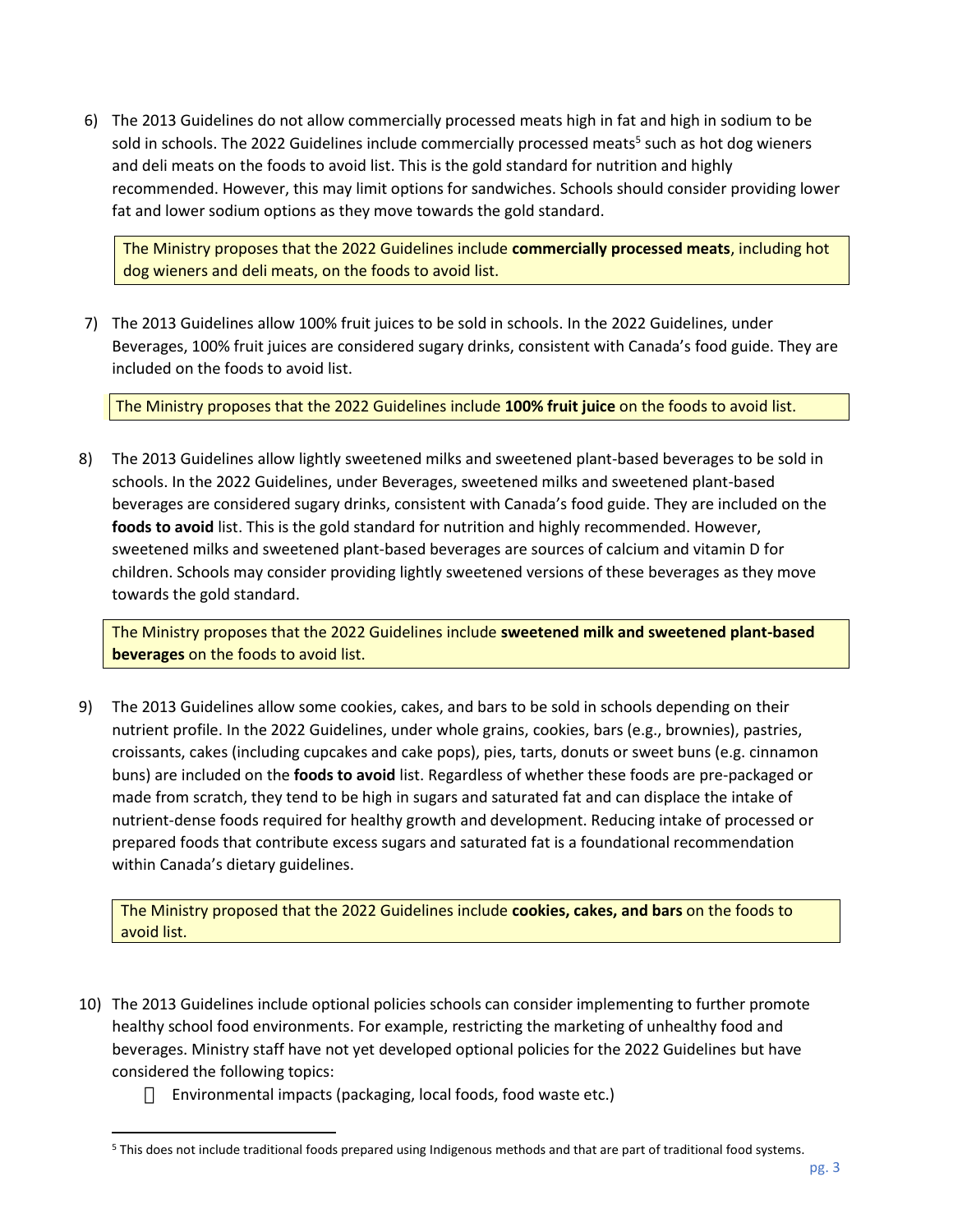6) The 2013 Guidelines do not allow commercially processed meats high in fat and high in sodium to be sold in schools. The 2022 Guidelines include commercially processed meats<sup>5</sup> such as hot dog wieners and deli meats on the foods to avoid list. This is the gold standard for nutrition and highly recommended. However, this may limit options for sandwiches. Schools should consider providing lower fat and lower sodium options as they move towards the gold standard.

The Ministry proposes that the 2022 Guidelines include **commercially processed meats**, including hot dog wieners and deli meats, on the foods to avoid list.

7) The 2013 Guidelines allow 100% fruit juices to be sold in schools. In the 2022 Guidelines, under Beverages, 100% fruit juices are considered sugary drinks, consistent with Canada's food guide. They are included on the foods to avoid list.

The Ministry proposes that the 2022 Guidelines include **100% fruit juice** on the foods to avoid list.

8) The 2013 Guidelines allow lightly sweetened milks and sweetened plant-based beverages to be sold in schools. In the 2022 Guidelines, under Beverages, sweetened milks and sweetened plant-based beverages are considered sugary drinks, consistent with Canada's food guide. They are included on the **foods to avoid** list. This is the gold standard for nutrition and highly recommended. However, sweetened milks and sweetened plant-based beverages are sources of calcium and vitamin D for children. Schools may consider providing lightly sweetened versions of these beverages as they move towards the gold standard.

The Ministry proposes that the 2022 Guidelines include **sweetened milk and sweetened plant-based beverages** on the foods to avoid list.

9) The 2013 Guidelines allow some cookies, cakes, and bars to be sold in schools depending on their nutrient profile. In the 2022 Guidelines, under whole grains, cookies, bars (e.g., brownies), pastries, croissants, cakes (including cupcakes and cake pops), pies, tarts, donuts or sweet buns (e.g. cinnamon buns) are included on the **foods to avoid** list. Regardless of whether these foods are pre-packaged or made from scratch, they tend to be high in sugars and saturated fat and can displace the intake of nutrient-dense foods required for healthy growth and development. Reducing intake of processed or prepared foods that contribute excess sugars and saturated fat is a foundational recommendation within Canada's dietary guidelines.

The Ministry proposed that the 2022 Guidelines include **cookies, cakes, and bars** on the foods to avoid list.

- 10) The 2013 Guidelines include optional policies schools can consider implementing to further promote healthy school food environments. For example, restricting the marketing of unhealthy food and beverages. Ministry staff have not yet developed optional policies for the 2022 Guidelines but have considered the following topics:
	- $\Box$  Environmental impacts (packaging, local foods, food waste etc.)

<sup>5</sup> This does not include traditional foods prepared using Indigenous methods and that are part of traditional food systems.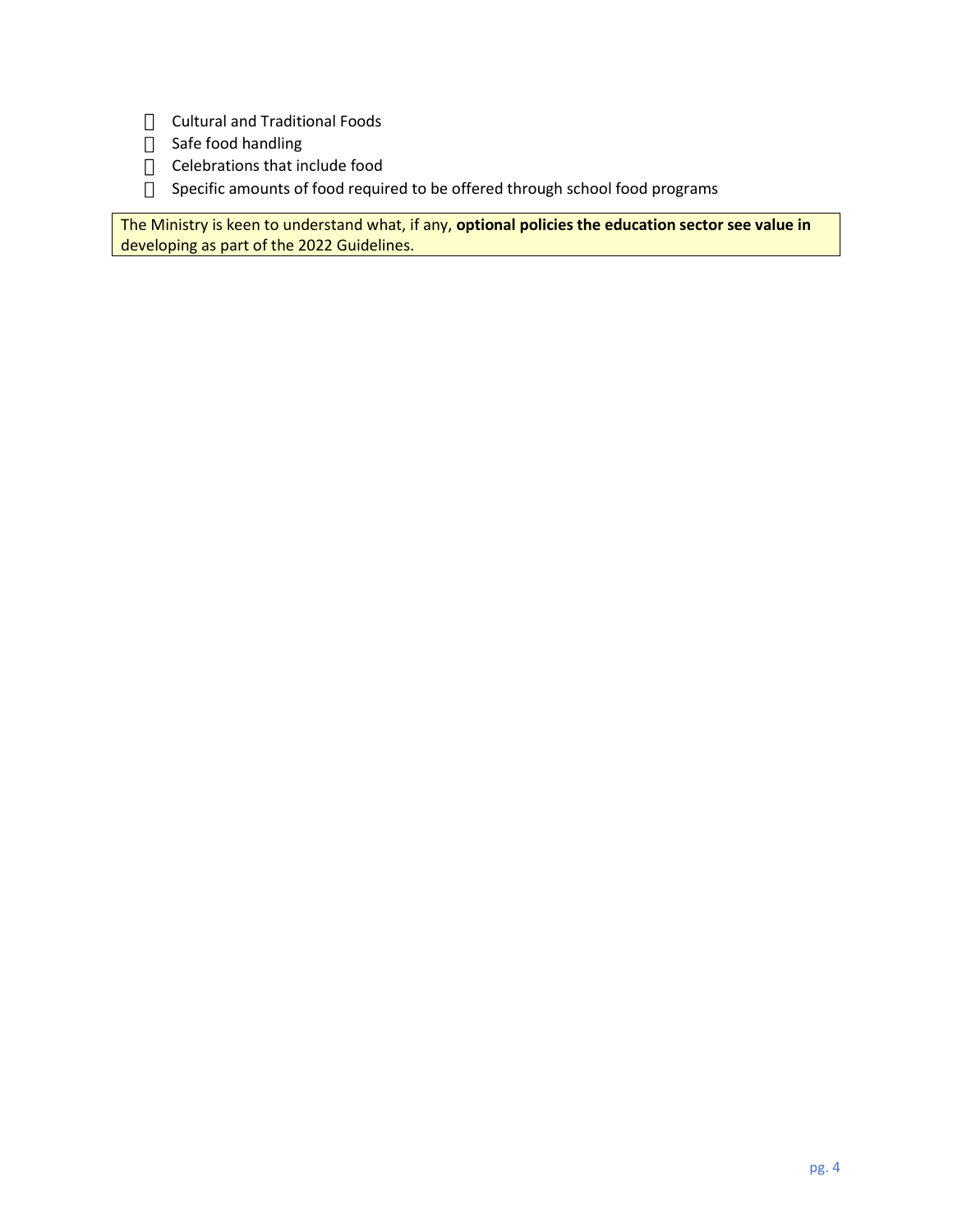- **Cultural and Traditional Foods**
- Safe food handling
- $\Box$  Celebrations that include food
- □ Specific amounts of food required to be offered through school food programs

The Ministry is keen to understand what, if any, **optional policies the education sector see value in** developing as part of the 2022 Guidelines.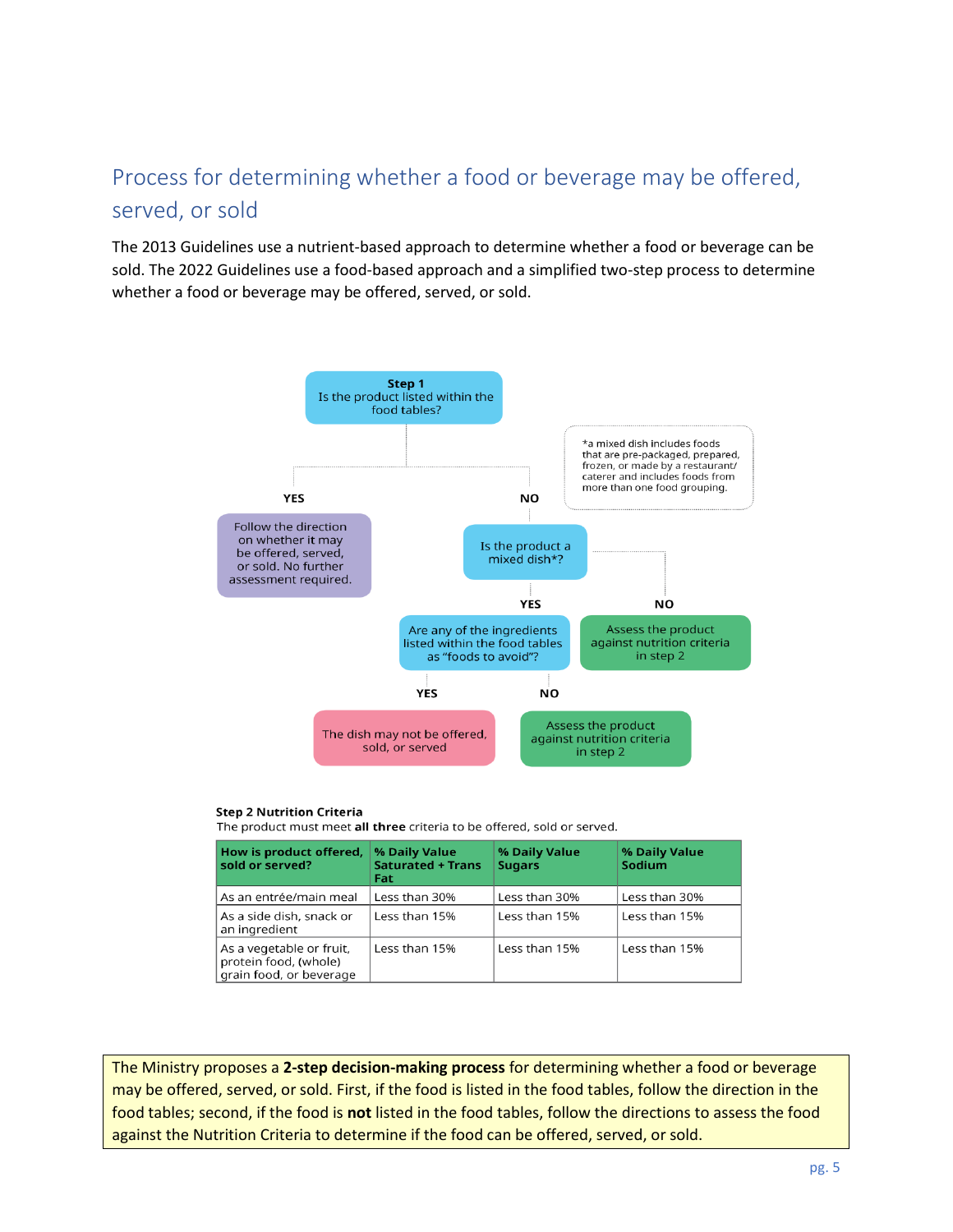# Process for determining whether a food or beverage may be offered, served, or sold

The 2013 Guidelines use a nutrient-based approach to determine whether a food or beverage can be sold. The 2022 Guidelines use a food-based approach and a simplified two-step process to determine whether a food or beverage may be offered, served, or sold.



#### **Step 2 Nutrition Criteria**

The product must meet all three criteria to be offered, sold or served.

| How is product offered,<br>sold or served?                                   | % Daily Value<br><b>Saturated + Trans</b><br>Fat | % Daily Value<br><b>Sugars</b> | % Daily Value<br>Sodium |
|------------------------------------------------------------------------------|--------------------------------------------------|--------------------------------|-------------------------|
| As an entrée/main meal                                                       | Less than 30%                                    | Less than 30%                  | Less than 30%           |
| As a side dish, snack or<br>an ingredient                                    | Less than 15%                                    | Less than 15%                  | Less than 15%           |
| As a vegetable or fruit,<br>protein food, (whole)<br>grain food, or beverage | Less than 15%                                    | Less than 15%                  | Less than 15%           |

The Ministry proposes a **2-step decision-making process** for determining whether a food or beverage may be offered, served, or sold. First, if the food is listed in the food tables, follow the direction in the food tables; second, if the food is **not** listed in the food tables, follow the directions to assess the food against the Nutrition Criteria to determine if the food can be offered, served, or sold.